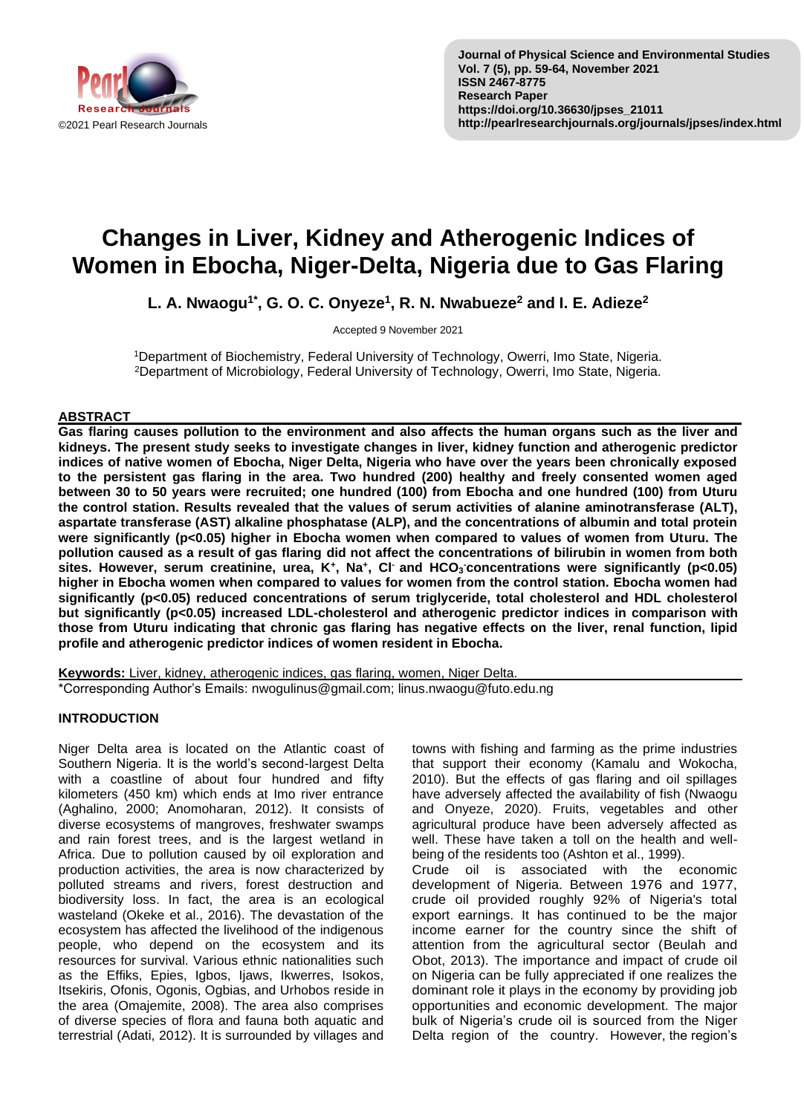

# **Changes in Liver, Kidney and Atherogenic Indices of Women in Ebocha, Niger-Delta, Nigeria due to Gas Flaring**

**L. A. Nwaogu1\* , G. O. C. Onyeze<sup>1</sup> , R. N. Nwabueze<sup>2</sup> and I. E. Adieze<sup>2</sup>**

Accepted 9 November 2021

<sup>1</sup>Department of Biochemistry, Federal University of Technology, Owerri, Imo State, Nigeria. <sup>2</sup>Department of Microbiology, Federal University of Technology, Owerri, Imo State, Nigeria.

### **ABSTRACT**

**Gas flaring causes pollution to the environment and also affects the human organs such as the liver and kidneys. The present study seeks to investigate changes in liver, kidney function and atherogenic predictor indices of native women of Ebocha, Niger Delta, Nigeria who have over the years been chronically exposed to the persistent gas flaring in the area. Two hundred (200) healthy and freely consented women aged between 30 to 50 years were recruited; one hundred (100) from Ebocha and one hundred (100) from Uturu the control station. Results revealed that the values of serum activities of alanine aminotransferase (ALT), aspartate transferase (AST) alkaline phosphatase (ALP), and the concentrations of albumin and total protein were significantly (p<0.05) higher in Ebocha women when compared to values of women from Uturu. The pollution caused as a result of gas flaring did not affect the concentrations of bilirubin in women from both**  sites. However, serum creatinine, urea, K<sup>+</sup>, Na<sup>+</sup>, Cl<sup>-</sup> and HCO<sub>3</sub> concentrations were significantly (p<0.05) **higher in Ebocha women when compared to values for women from the control station. Ebocha women had significantly (p<0.05) reduced concentrations of serum triglyceride, total cholesterol and HDL cholesterol but significantly (p<0.05) increased LDL-cholesterol and atherogenic predictor indices in comparison with those from Uturu indicating that chronic gas flaring has negative effects on the liver, renal function, lipid profile and atherogenic predictor indices of women resident in Ebocha.**

**Keywords:** Liver, kidney, atherogenic indices, gas flaring, women, Niger Delta. \*Corresponding Author's Emails: nwogulinus@gmail.com; linus.nwaogu@futo.edu.ng

# **INTRODUCTION**

Niger Delta area is located on the Atlantic coast of Southern Nigeria. It is the world's second-largest Delta with a coastline of about four hundred and fifty kilometers (450 km) which ends at Imo river entrance (Aghalino, 2000; Anomoharan, 2012). It consists of diverse ecosystems of mangroves, freshwater swamps and rain forest trees, and is the largest wetland in Africa. Due to pollution caused by oil exploration and production activities, the area is now characterized by polluted streams and rivers, forest destruction and biodiversity loss. In fact, the area is an ecological wasteland (Okeke et al., 2016). The devastation of the ecosystem has affected the livelihood of the indigenous people, who depend on the ecosystem and its resources for survival. Various ethnic nationalities such as the Effiks, Epies, Igbos, Ijaws, Ikwerres, Isokos, Itsekiris, Ofonis, Ogonis, Ogbias, and Urhobos reside in the area (Omajemite, 2008). The area also comprises of diverse species of flora and fauna both aquatic and terrestrial (Adati, 2012). It is surrounded by villages and

towns with fishing and farming as the prime industries that support their economy (Kamalu and Wokocha, 2010). But the effects of gas flaring and oil spillages have adversely affected the availability of fish (Nwaogu and Onyeze, 2020). Fruits, vegetables and other agricultural produce have been adversely affected as well. These have taken a toll on the health and wellbeing of the residents too (Ashton et al., 1999).

Crude oil is associated with the economic development of Nigeria. Between 1976 and 1977, crude oil provided roughly 92% of Nigeria's total export earnings. It has continued to be the major income earner for the country since the shift of attention from the agricultural sector (Beulah and Obot, 2013). The importance and impact of crude oil on Nigeria can be fully appreciated if one realizes the dominant role it plays in the economy by providing job opportunities and economic development. The major bulk of Nigeria's crude oil is sourced from the Niger Delta region of the country. However, the region's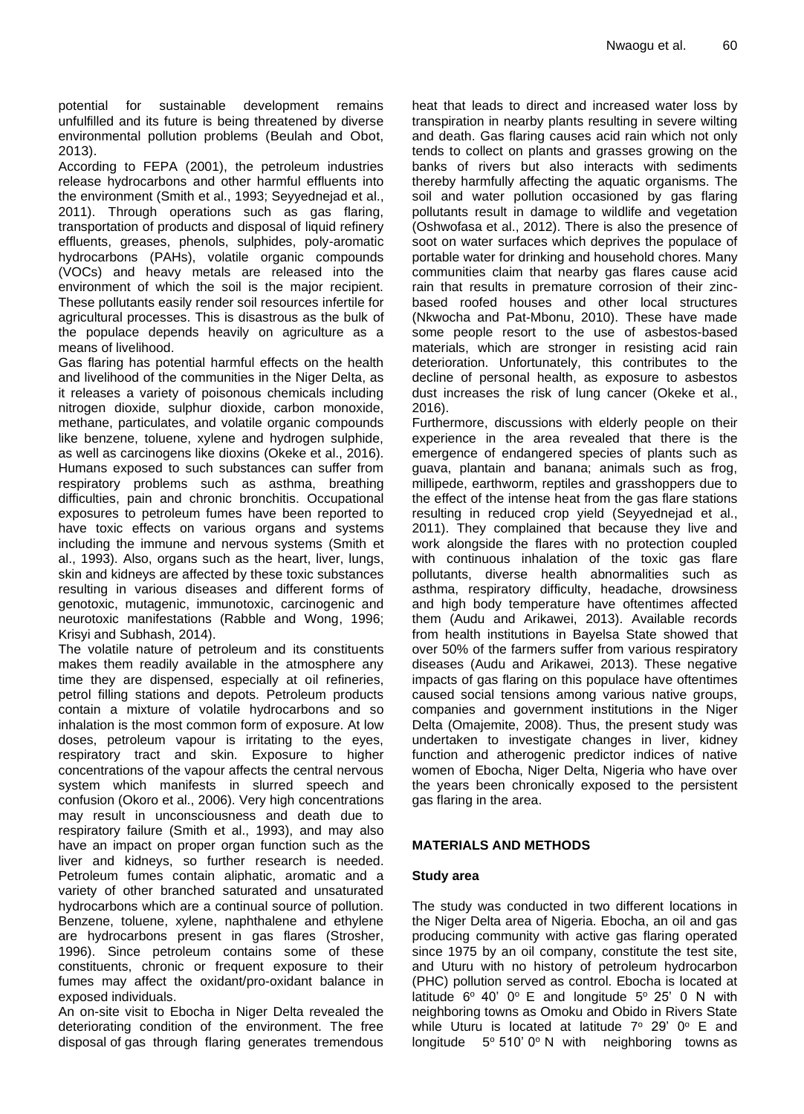potential for sustainable development remains unfulfilled and its future is being threatened by diverse environmental pollution problems (Beulah and Obot, 2013).

According to FEPA (2001), the petroleum industries release hydrocarbons and other harmful effluents into the environment (Smith et al., 1993; Seyyednejad et al., 2011). Through operations such as gas flaring, transportation of products and disposal of liquid refinery effluents, greases, phenols, sulphides, poly-aromatic hydrocarbons (PAHs), volatile organic compounds (VOCs) and heavy metals are released into the environment of which the soil is the major recipient. These pollutants easily render soil resources infertile for agricultural processes. This is disastrous as the bulk of the populace depends heavily on agriculture as a means of livelihood.

Gas flaring has potential harmful effects on the health and livelihood of the communities in the Niger Delta, as it releases a variety of poisonous chemicals including nitrogen dioxide, sulphur dioxide, carbon monoxide, methane, particulates, and volatile organic compounds like benzene, toluene, xylene and hydrogen sulphide, as well as carcinogens like dioxins (Okeke et al., 2016). Humans exposed to such substances can suffer from respiratory problems such as asthma, breathing difficulties, pain and chronic bronchitis. Occupational exposures to petroleum fumes have been reported to have toxic effects on various organs and systems including the immune and nervous systems (Smith et al., 1993). Also, organs such as the heart, liver, lungs, skin and kidneys are affected by these toxic substances resulting in various diseases and different forms of genotoxic, mutagenic, immunotoxic, carcinogenic and neurotoxic manifestations (Rabble and Wong, 1996; Krisyi and Subhash, 2014).

The volatile nature of petroleum and its constituents makes them readily available in the atmosphere any time they are dispensed, especially at oil refineries, petrol filling stations and depots. Petroleum products contain a mixture of volatile hydrocarbons and so inhalation is the most common form of exposure. At low doses, petroleum vapour is irritating to the eyes, respiratory tract and skin. Exposure to higher concentrations of the vapour affects the central nervous system which manifests in slurred speech and confusion (Okoro et al., 2006). Very high concentrations may result in unconsciousness and death due to respiratory failure (Smith et al., 1993), and may also have an impact on proper organ function such as the liver and kidneys, so further research is needed. Petroleum fumes contain aliphatic, aromatic and a variety of other branched saturated and unsaturated hydrocarbons which are a continual source of pollution. Benzene, toluene, xylene, naphthalene and ethylene are hydrocarbons present in gas flares (Strosher, 1996). Since petroleum contains some of these constituents, chronic or frequent exposure to their fumes may affect the oxidant/pro-oxidant balance in exposed individuals.

An on-site visit to Ebocha in Niger Delta revealed the deteriorating condition of the environment. The free disposal of gas through flaring generates tremendous heat that leads to direct and increased water loss by transpiration in nearby plants resulting in severe wilting and death. Gas flaring causes acid rain which not only tends to collect on plants and grasses growing on the banks of rivers but also interacts with sediments thereby harmfully affecting the aquatic organisms. The soil and water pollution occasioned by gas flaring pollutants result in damage to wildlife and vegetation (Oshwofasa et al., 2012). There is also the presence of soot on water surfaces which deprives the populace of portable water for drinking and household chores. Many communities claim that nearby gas flares cause acid rain that results in premature corrosion of their zincbased roofed houses and other local structures (Nkwocha and Pat-Mbonu, 2010). These have made some people resort to the use of asbestos-based materials, which are stronger in resisting acid rain deterioration. Unfortunately, this contributes to the decline of personal health, as exposure to asbestos dust increases the risk of lung cancer (Okeke et al., 2016).

Furthermore, discussions with elderly people on their experience in the area revealed that there is the emergence of endangered species of plants such as guava, plantain and banana; animals such as frog, millipede, earthworm, reptiles and grasshoppers due to the effect of the intense heat from the gas flare stations resulting in reduced crop yield (Seyyednejad et al., 2011). They complained that because they live and work alongside the flares with no protection coupled with continuous inhalation of the toxic gas flare pollutants, diverse health abnormalities such as asthma, respiratory difficulty, headache, drowsiness and high body temperature have oftentimes affected them (Audu and Arikawei, 2013). Available records from health institutions in Bayelsa State showed that over 50% of the farmers suffer from various respiratory diseases (Audu and Arikawei, 2013). These negative impacts of gas flaring on this populace have oftentimes caused social tensions among various native groups, companies and government institutions in the Niger Delta (Omajemite, 2008). Thus, the present study was undertaken to investigate changes in liver, kidney function and atherogenic predictor indices of native women of Ebocha, Niger Delta, Nigeria who have over the years been chronically exposed to the persistent gas flaring in the area.

### **MATERIALS AND METHODS**

### **Study area**

The study was conducted in two different locations in the Niger Delta area of Nigeria. Ebocha, an oil and gas producing community with active gas flaring operated since 1975 by an oil company, constitute the test site, and Uturu with no history of petroleum hydrocarbon (PHC) pollution served as control. Ebocha is located at latitude  $6^{\circ}$  40'  $0^{\circ}$  E and longitude  $5^{\circ}$  25' 0 N with neighboring towns as Omoku and Obido in Rivers State while Uturu is located at latitude  $7^{\circ}$  29' 0° E and longitude  $5^{\circ}$  510' 0° N with neighboring towns as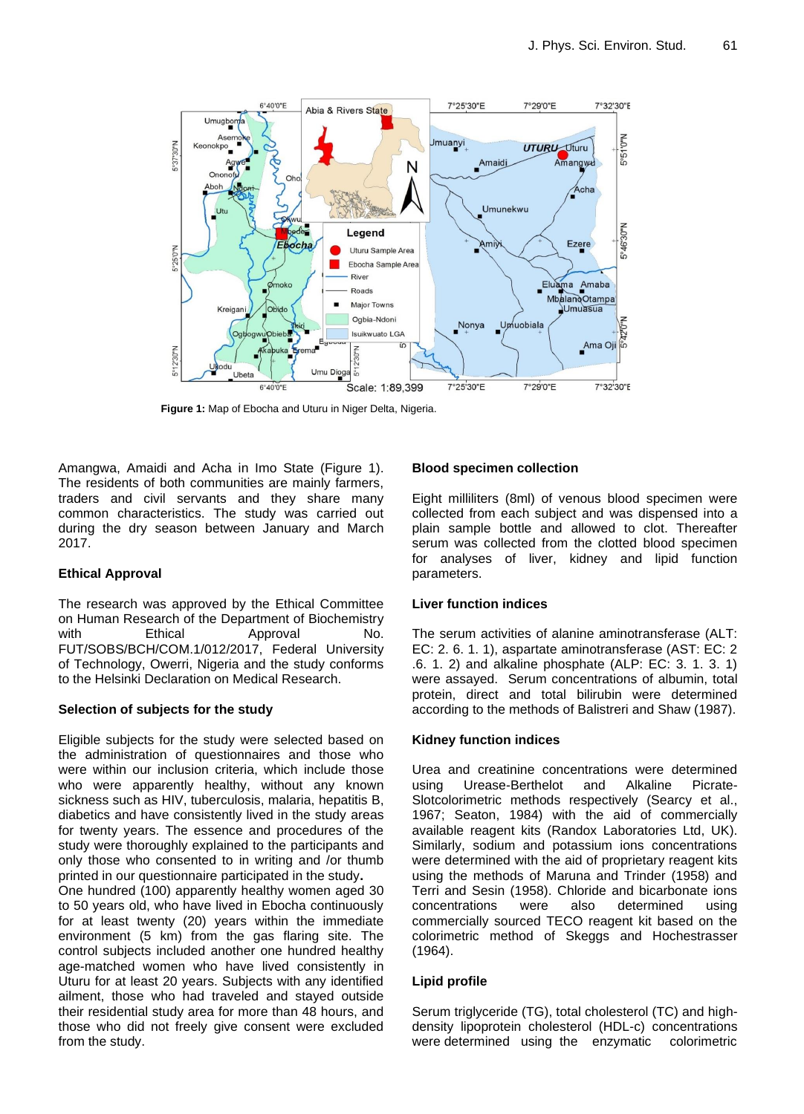

**Figure 1:** Map of Ebocha and Uturu in Niger Delta, Nigeria.

Amangwa, Amaidi and Acha in Imo State (Figure 1). The residents of both communities are mainly farmers, traders and civil servants and they share many common characteristics. The study was carried out during the dry season between January and March 2017.

### **Ethical Approval**

The research was approved by the Ethical Committee on Human Research of the Department of Biochemistry with Ethical Approval No. FUT/SOBS/BCH/COM.1/012/2017, Federal University of Technology, Owerri, Nigeria and the study conforms to the Helsinki Declaration on Medical Research.

### **Selection of subjects for the study**

Eligible subjects for the study were selected based on the administration of questionnaires and those who were within our inclusion criteria, which include those who were apparently healthy, without any known sickness such as HIV, tuberculosis, malaria, hepatitis B, diabetics and have consistently lived in the study areas for twenty years. The essence and procedures of the study were thoroughly explained to the participants and only those who consented to in writing and /or thumb printed in our questionnaire participated in the study**.**

One hundred (100) apparently healthy women aged 30 to 50 years old, who have lived in Ebocha continuously for at least twenty (20) years within the immediate environment (5 km) from the gas flaring site. The control subjects included another one hundred healthy age-matched women who have lived consistently in Uturu for at least 20 years. Subjects with any identified ailment, those who had traveled and stayed outside their residential study area for more than 48 hours, and those who did not freely give consent were excluded from the study.

## **Blood specimen collection**

Eight milliliters (8ml) of venous blood specimen were collected from each subject and was dispensed into a plain sample bottle and allowed to clot. Thereafter serum was collected from the clotted blood specimen for analyses of liver, kidney and lipid function parameters.

### **Liver function indices**

The serum activities of alanine aminotransferase (ALT: EC: 2. 6. 1. 1), aspartate aminotransferase (AST: EC: 2 .6. 1. 2) and alkaline phosphate (ALP: EC: 3. 1. 3. 1) were assayed. Serum concentrations of albumin, total protein, direct and total bilirubin were determined according to the methods of Balistreri and Shaw (1987).

### **Kidney function indices**

Urea and creatinine concentrations were determined using Urease-Berthelot and Alkaline Picrate-Slotcolorimetric methods respectively (Searcy et al., 1967; Seaton, 1984) with the aid of commercially available reagent kits (Randox Laboratories Ltd, UK). Similarly, sodium and potassium ions concentrations were determined with the aid of proprietary reagent kits using the methods of Maruna and Trinder (1958) and Terri and Sesin (1958). Chloride and bicarbonate ions concentrations were also determined using commercially sourced TECO reagent kit based on the colorimetric method of Skeggs and Hochestrasser (1964).

### **Lipid profile**

Serum triglyceride (TG), total cholesterol (TC) and highdensity lipoprotein cholesterol (HDL-c) concentrations were determined using the enzymatic colorimetric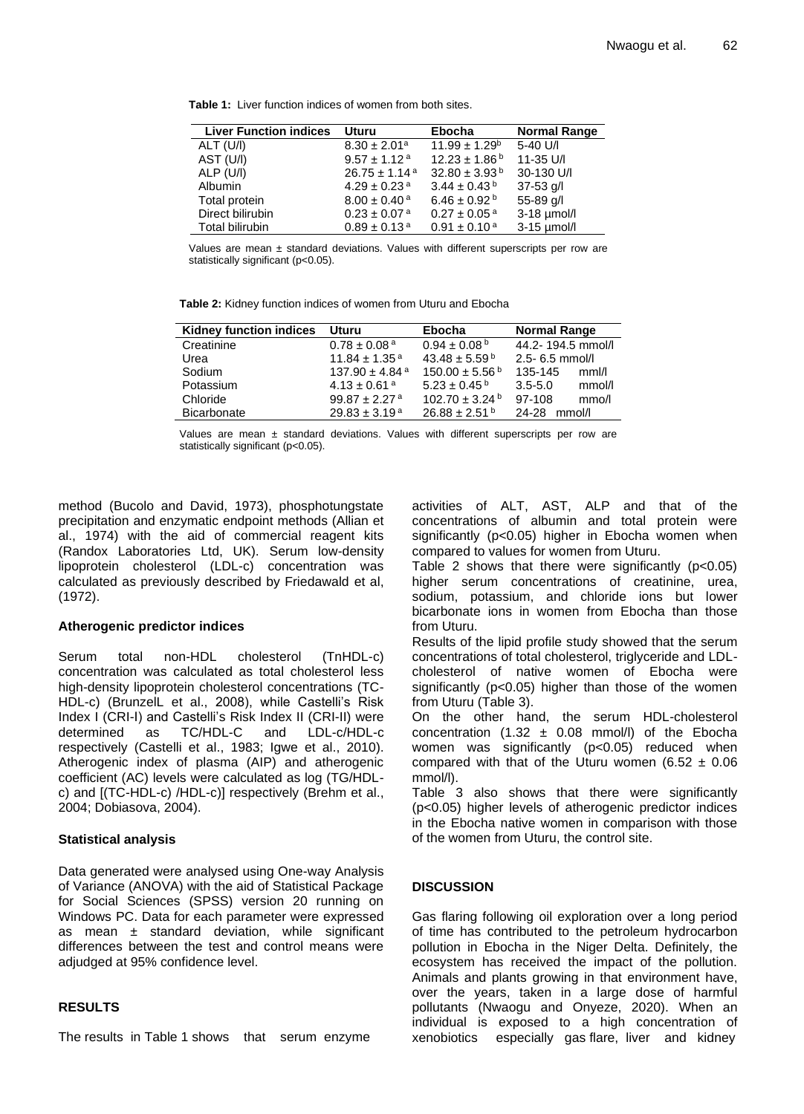| <b>Liver Function indices</b> | <b>Uturu</b>                  | <b>Ebocha</b>                | <b>Normal Range</b> |
|-------------------------------|-------------------------------|------------------------------|---------------------|
| ALT (U/I)                     | $8.30 \pm 2.01$ <sup>a</sup>  | $11.99 \pm 1.29^b$           | 5-40 U/I            |
| AST (U/I)                     | $9.57 \pm 1.12$ <sup>a</sup>  | $12.23 \pm 1.86^{\text{ b}}$ | 11-35 U/I           |
| ALP (U/I)                     | $26.75 \pm 1.14$ <sup>a</sup> | $32.80 \pm 3.93^{\text{ b}}$ | 30-130 U/I          |
| <b>Albumin</b>                | $4.29 \pm 0.23$ <sup>a</sup>  | $3.44 \pm 0.43^{\text{ b}}$  | $37 - 53$ g/l       |
| Total protein                 | $8.00 \pm 0.40$ <sup>a</sup>  | $6.46 \pm 0.92^{\text{b}}$   | 55-89 g/l           |
| Direct bilirubin              | $0.23 \pm 0.07$ <sup>a</sup>  | $0.27 \pm 0.05$ <sup>a</sup> | $3-18$ µmol/l       |
| <b>Total bilirubin</b>        | $0.89 \pm 0.13$ <sup>a</sup>  | $0.91 \pm 0.10^{\text{a}}$   | $3-15$ µmol/l       |

**Table 1:** Liver function indices of women from both sites.

Values are mean  $\pm$  standard deviations. Values with different superscripts per row are statistically significant (p<0.05).

**Table 2:** Kidney function indices of women from Uturu and Ebocha

| <b>Kidney function indices</b> | <b>Uturu</b>                   | <b>Ebocha</b>                  | <b>Normal Range</b>   |
|--------------------------------|--------------------------------|--------------------------------|-----------------------|
| Creatinine                     | $0.78 \pm 0.08$ <sup>a</sup>   | $0.94 \pm 0.08^{\text{b}}$     | 44.2-194.5 mmol/l     |
| Urea                           | $11.84 \pm 1.35$ <sup>a</sup>  | $43.48 \pm 5.59$ b             | $2.5 - 6.5$ mmol/l    |
| Sodium                         | 137.90 $\pm$ 4.84 $\mathrm{a}$ | $150.00 \pm 5.56^{\text{ b}}$  | 135-145<br>mm/l       |
| Potassium                      | $4.13 \pm 0.61$ <sup>a</sup>   | $5.23 \pm 0.45^{\,\mathrm{b}}$ | $3.5 - 5.0$<br>mmol/l |
| Chloride                       | $99.87 \pm 2.27$ <sup>a</sup>  | $102.70 \pm 3.24$ <sup>b</sup> | 97-108<br>mmo/l       |
| <b>Bicarbonate</b>             | $29.83 \pm 3.19^{\text{a}}$    | $26.88 \pm 2.51$ b             | 24-28<br>mmol/l       |
|                                |                                |                                |                       |

Values are mean ± standard deviations. Values with different superscripts per row are statistically significant (p<0.05).

method (Bucolo and David, 1973), phosphotungstate precipitation and enzymatic endpoint methods (Allian et al., 1974) with the aid of commercial reagent kits (Randox Laboratories Ltd, UK). Serum low-density lipoprotein cholesterol (LDL-c) concentration was calculated as previously described by Friedawald et al, (1972).

### **Atherogenic predictor indices**

Serum total non-HDL cholesterol (TnHDL-c) concentration was calculated as total cholesterol less high-density lipoprotein cholesterol concentrations (TC-HDL-c) (BrunzelL et al., 2008), while Castelli's Risk Index I (CRI-I) and Castelli's Risk Index II (CRI-II) were determined as TC/HDL-C and LDL-c/HDL-c respectively (Castelli et al., 1983; Igwe et al., 2010). Atherogenic index of plasma (AIP) and atherogenic coefficient (AC) levels were calculated as log (TG/HDLc) and [(TC-HDL-c) /HDL-c)] respectively (Brehm et al., 2004; Dobiasova, 2004).

# **Statistical analysis**

Data generated were analysed using One-way Analysis of Variance (ANOVA) with the aid of Statistical Package for Social Sciences (SPSS) version 20 running on Windows PC. Data for each parameter were expressed as mean  $\pm$  standard deviation, while significant differences between the test and control means were adjudged at 95% confidence level.

### **RESULTS**

The results in Table 1 shows that serum enzyme

activities of ALT, AST, ALP and that of the concentrations of albumin and total protein were significantly (p<0.05) higher in Ebocha women when compared to values for women from Uturu.

Table 2 shows that there were significantly  $(p<0.05)$ higher serum concentrations of creatinine, urea, sodium, potassium, and chloride ions but lower bicarbonate ions in women from Ebocha than those from Uturu.

Results of the lipid profile study showed that the serum concentrations of total cholesterol, triglyceride and LDLcholesterol of native women of Ebocha were significantly (p<0.05) higher than those of the women from Uturu (Table 3).

On the other hand, the serum HDL-cholesterol concentration (1.32  $\pm$  0.08 mmol/l) of the Ebocha women was significantly (p<0.05) reduced when compared with that of the Uturu women (6.52  $\pm$  0.06 mmol/l).

Table 3 also shows that there were significantly (p<0.05) higher levels of atherogenic predictor indices in the Ebocha native women in comparison with those of the women from Uturu, the control site.

### **DISCUSSION**

Gas flaring following oil exploration over a long period of time has contributed to the petroleum hydrocarbon pollution in Ebocha in the Niger Delta. Definitely, the ecosystem has received the impact of the pollution. Animals and plants growing in that environment have, over the years, taken in a large dose of harmful pollutants (Nwaogu and Onyeze, 2020). When an individual is exposed to a high concentration of xenobiotics especially gas flare, liver and kidney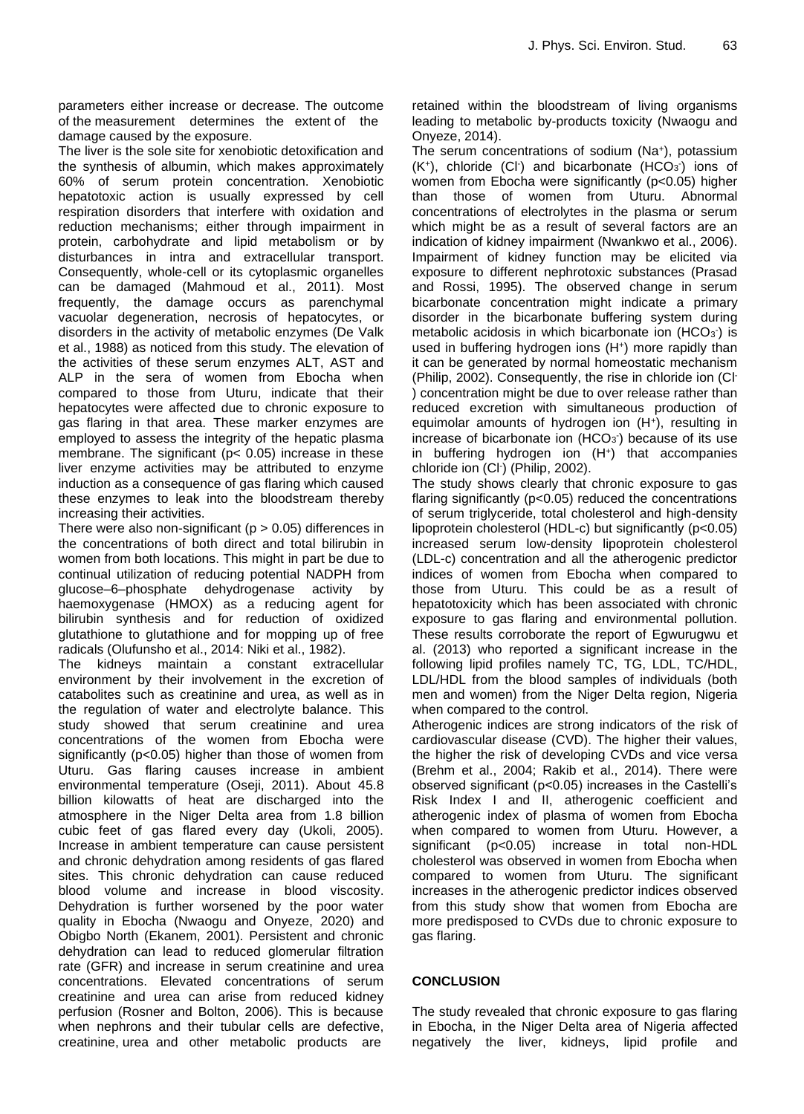parameters either increase or decrease. The outcome of the measurement determines the extent of the damage caused by the exposure.

The liver is the sole site for xenobiotic detoxification and the synthesis of albumin, which makes approximately 60% of serum protein concentration. Xenobiotic hepatotoxic action is usually expressed by cell respiration disorders that interfere with oxidation and reduction mechanisms; either through impairment in protein, carbohydrate and lipid metabolism or by disturbances in intra and extracellular transport. Consequently, whole-cell or its cytoplasmic organelles can be damaged (Mahmoud et al., 2011). Most frequently, the damage occurs as parenchymal vacuolar degeneration, necrosis of hepatocytes, or disorders in the activity of metabolic enzymes (De Valk et al., 1988) as noticed from this study. The elevation of the activities of these serum enzymes ALT, AST and ALP in the sera of women from Ebocha when compared to those from Uturu, indicate that their hepatocytes were affected due to chronic exposure to gas flaring in that area. These marker enzymes are employed to assess the integrity of the hepatic plasma membrane. The significant ( $p < 0.05$ ) increase in these liver enzyme activities may be attributed to enzyme induction as a consequence of gas flaring which caused these enzymes to leak into the bloodstream thereby increasing their activities.

There were also non-significant ( $p > 0.05$ ) differences in the concentrations of both direct and total bilirubin in women from both locations. This might in part be due to continual utilization of reducing potential NADPH from glucose–6–phosphate dehydrogenase activity by haemoxygenase (HMOX) as a reducing agent for bilirubin synthesis and for reduction of oxidized glutathione to glutathione and for mopping up of free radicals (Olufunsho et al., 2014: Niki et al., 1982).

The kidneys maintain a constant extracellular environment by their involvement in the excretion of catabolites such as creatinine and urea, as well as in the regulation of water and electrolyte balance. This study showed that serum creatinine and urea concentrations of the women from Ebocha were significantly (p<0.05) higher than those of women from Uturu. Gas flaring causes increase in ambient environmental temperature (Oseji, 2011). About 45.8 billion kilowatts of heat are discharged into the atmosphere in the Niger Delta area from 1.8 billion cubic feet of gas flared every day (Ukoli, 2005). Increase in ambient temperature can cause persistent and chronic dehydration among residents of gas flared sites. This chronic dehydration can cause reduced blood volume and increase in blood viscosity. Dehydration is further worsened by the poor water quality in Ebocha (Nwaogu and Onyeze, 2020) and Obigbo North (Ekanem, 2001). Persistent and chronic dehydration can lead to reduced glomerular filtration rate (GFR) and increase in serum creatinine and urea concentrations. Elevated concentrations of serum creatinine and urea can arise from reduced kidney perfusion (Rosner and Bolton, 2006). This is because when nephrons and their tubular cells are defective, creatinine, urea and other metabolic products are

retained within the bloodstream of living organisms leading to metabolic by-products toxicity (Nwaogu and Onyeze, 2014).

The serum concentrations of sodium (Na<sup>+</sup> ), potassium  $(K<sup>+</sup>)$ , chloride (Cl<sup>-</sup>) and bicarbonate (HCO<sub>3</sub><sup>-</sup>) ions of women from Ebocha were significantly (p<0.05) higher than those of women from Uturu. Abnormal concentrations of electrolytes in the plasma or serum which might be as a result of several factors are an indication of kidney impairment (Nwankwo et al., 2006). Impairment of kidney function may be elicited via exposure to different nephrotoxic substances (Prasad and Rossi, 1995). The observed change in serum bicarbonate concentration might indicate a primary disorder in the bicarbonate buffering system during metabolic acidosis in which bicarbonate ion  $(HCO<sub>3</sub>)$  is used in buffering hydrogen ions (H<sup>+</sup>) more rapidly than it can be generated by normal homeostatic mechanism (Philip, 2002). Consequently, the rise in chloride ion (Cl - ) concentration might be due to over release rather than reduced excretion with simultaneous production of equimolar amounts of hydrogen ion (H<sup>+</sup>), resulting in increase of bicarbonate ion  $(HCO<sub>3</sub>)$  because of its use in buffering hydrogen ion (H<sup>+</sup> ) that accompanies chloride ion (Cl- ) (Philip, 2002).

The study shows clearly that chronic exposure to gas flaring significantly (p<0.05) reduced the concentrations of serum triglyceride, total cholesterol and high-density lipoprotein cholesterol (HDL-c) but significantly (p<0.05) increased serum low-density lipoprotein cholesterol (LDL-c) concentration and all the atherogenic predictor indices of women from Ebocha when compared to those from Uturu. This could be as a result of hepatotoxicity which has been associated with chronic exposure to gas flaring and environmental pollution. These results corroborate the report of Egwurugwu et al. (2013) who reported a significant increase in the following lipid profiles namely TC, TG, LDL, TC/HDL, LDL/HDL from the blood samples of individuals (both men and women) from the Niger Delta region, Nigeria when compared to the control.

Atherogenic indices are strong indicators of the risk of cardiovascular disease (CVD). The higher their values, the higher the risk of developing CVDs and vice versa (Brehm et al., 2004; Rakib et al., 2014). There were observed significant (p<0.05) increases in the Castelli's Risk Index I and II, atherogenic coefficient and atherogenic index of plasma of women from Ebocha when compared to women from Uturu. However, a significant (p<0.05) increase in total non-HDL cholesterol was observed in women from Ebocha when compared to women from Uturu. The significant increases in the atherogenic predictor indices observed from this study show that women from Ebocha are more predisposed to CVDs due to chronic exposure to gas flaring.

# **CONCLUSION**

The study revealed that chronic exposure to gas flaring in Ebocha, in the Niger Delta area of Nigeria affected negatively the liver, kidneys, lipid profile and